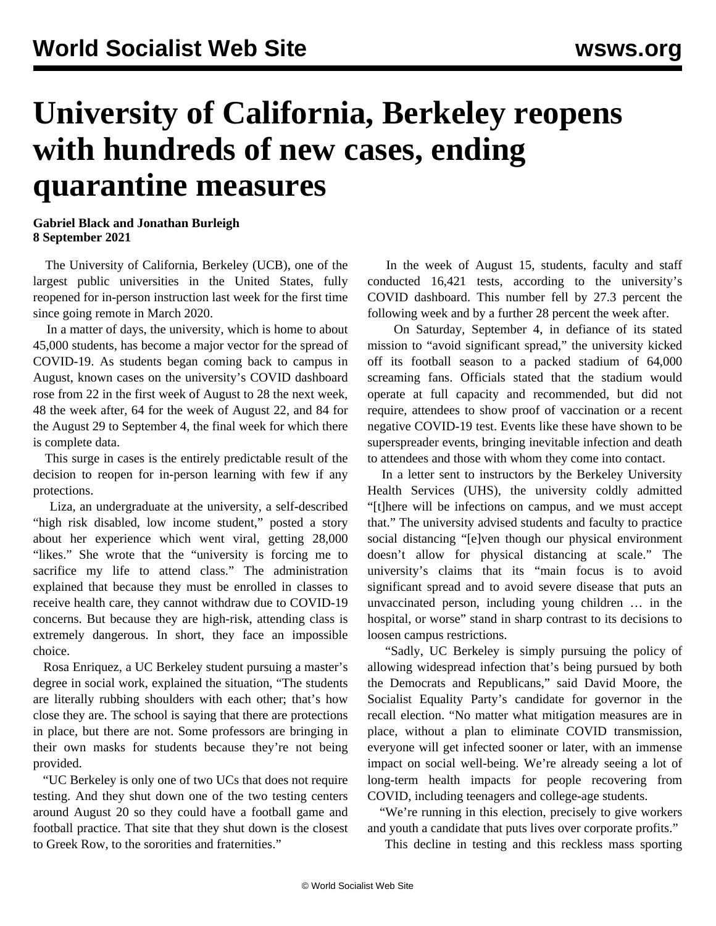## **University of California, Berkeley reopens with hundreds of new cases, ending quarantine measures**

## **Gabriel Black and Jonathan Burleigh 8 September 2021**

 The University of California, Berkeley (UCB), one of the largest public universities in the United States, fully reopened for in-person instruction last week for the first time since going remote in March 2020.

 In a matter of days, the university, which is home to about 45,000 students, has become a major vector for the spread of COVID-19. As students began coming back to campus in August, known cases on the university's [COVID dashboard](https://coronavirus.berkeley.edu/dashboard/) rose from 22 in the first week of August to 28 the next week, 48 the week after, 64 for the week of August 22, and 84 for the August 29 to September 4, the final week for which there is complete data.

 This surge in cases is the entirely predictable result of the decision to reopen for in-person learning with few if any protections.

 Liza, an undergraduate at the university, a self-described "high risk disabled, low income student," posted a story about her experience which [went viral](https://twitter.com/redpomgranat/status/1431351903351291908?s=20), getting 28,000 "likes." She wrote that the "university is forcing me to sacrifice my life to attend class." The administration explained that because they must be enrolled in classes to receive health care, they cannot withdraw due to COVID-19 concerns. But because they are high-risk, attending class is extremely dangerous. In short, they face an impossible choice.

 Rosa Enriquez, a UC Berkeley student pursuing a master's degree in social work, explained the situation, "The students are literally rubbing shoulders with each other; that's how close they are. The school is saying that there are protections in place, but there are not. Some professors are bringing in their own masks for students because they're not being provided.

 "UC Berkeley is only one of two UCs that does not require testing. And they shut down one of the two testing centers around August 20 so they could have a football game and football practice. That site that they shut down is the closest to Greek Row, to the sororities and fraternities."

 In the week of August 15, students, faculty and staff conducted 16,421 tests, according to the university's COVID dashboard. This number fell by 27.3 percent the following week and by a further 28 percent the week after.

 On Saturday, September 4, in defiance of its stated mission to "avoid significant spread," the university kicked off its football season to a packed stadium of 64,000 screaming fans. Officials stated that the stadium would operate at full capacity and recommended, but did not require, attendees to show proof of vaccination or a recent negative COVID-19 test. Events like these have shown to be [superspreader events,](/en/articles/2021/09/07/usco-s07.html) bringing inevitable infection and death to attendees and those with whom they come into contact.

 In a letter sent to instructors by the Berkeley University Health Services (UHS), the university coldly admitted "[t]here will be infections on campus, and we must accept that." The university advised students and faculty to practice social distancing "[e]ven though our physical environment doesn't allow for physical distancing at scale." The university's claims that its "main focus is to avoid significant spread and to avoid severe disease that puts an unvaccinated person, including young children … in the hospital, or worse" stand in sharp contrast to its decisions to loosen campus restrictions.

 "Sadly, UC Berkeley is simply pursuing the policy of allowing widespread infection that's being pursued by both the Democrats and Republicans," said David Moore, the Socialist Equality Party's candidate for governor in the recall election. "No matter what mitigation measures are in place, without a plan to eliminate COVID transmission, everyone will get infected sooner or later, with an immense impact on social well-being. We're already seeing a lot of long-term health impacts for people recovering from COVID, including teenagers and college-age students.

 "We're running in this election, precisely to give workers and youth a candidate that puts lives over corporate profits."

This decline in testing and this reckless mass sporting